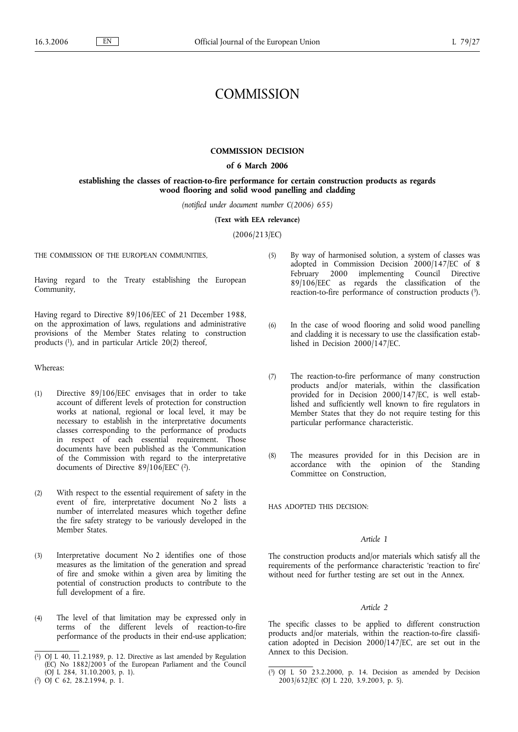# **COMMISSION**

#### **COMMISSION DECISION**

# **of 6 March 2006**

# **establishing the classes of reaction-to-fire performance for certain construction products as regards wood flooring and solid wood panelling and cladding**

*(notified under document number C(2006) 655)*

**(Text with EEA relevance)**

(2006/213/EC)

THE COMMISSION OF THE EUROPEAN COMMUNITIES,

Having regard to the Treaty establishing the European Community,

Having regard to Directive 89/106/EEC of 21 December 1988, on the approximation of laws, regulations and administrative provisions of the Member States relating to construction products  $(1)$ , and in particular Article 20 $(2)$  thereof,

Whereas:

- (1) Directive 89/106/EEC envisages that in order to take account of different levels of protection for construction works at national, regional or local level, it may be necessary to establish in the interpretative documents classes corresponding to the performance of products in respect of each essential requirement. Those documents have been published as the 'Communication of the Commission with regard to the interpretative documents of Directive 89/106/EEC' ( 2).
- (2) With respect to the essential requirement of safety in the event of fire, interpretative document No 2 lists a number of interrelated measures which together define the fire safety strategy to be variously developed in the Member States.
- (3) Interpretative document No 2 identifies one of those measures as the limitation of the generation and spread of fire and smoke within a given area by limiting the potential of construction products to contribute to the full development of a fire.
- (4) The level of that limitation may be expressed only in terms of the different levels of reaction-to-fire performance of the products in their end-use application;
- (5) By way of harmonised solution, a system of classes was adopted in Commission Decision 2000/147/EC of 8 February 2000 implementing Council Directive 89/106/EEC as regards the classification of the reaction-to-fire performance of construction products (3).
- (6) In the case of wood flooring and solid wood panelling and cladding it is necessary to use the classification established in Decision 2000/147/EC.
- (7) The reaction-to-fire performance of many construction products and/or materials, within the classification provided for in Decision 2000/147/EC, is well established and sufficiently well known to fire regulators in Member States that they do not require testing for this particular performance characteristic.
- (8) The measures provided for in this Decision are in accordance with the opinion of the Standing Committee on Construction,

HAS ADOPTED THIS DECISION:

#### *Article 1*

The construction products and/or materials which satisfy all the requirements of the performance characteristic 'reaction to fire' without need for further testing are set out in the Annex.

### *Article 2*

The specific classes to be applied to different construction products and/or materials, within the reaction-to-fire classification adopted in Decision 2000/147/EC, are set out in the Annex to this Decision.

<sup>(</sup> 1) OJ L 40, 11.2.1989, p. 12. Directive as last amended by Regulation (EC) No 1882/2003 of the European Parliament and the Council (OJ L 284, 31.10.2003, p. 1).

<sup>(</sup> 2) OJ C 62, 28.2.1994, p. 1.

<sup>(</sup> 3) OJ L 50 23.2.2000, p. 14. Decision as amended by Decision 2003/632/EC (OJ L 220, 3.9.2003, p. 5).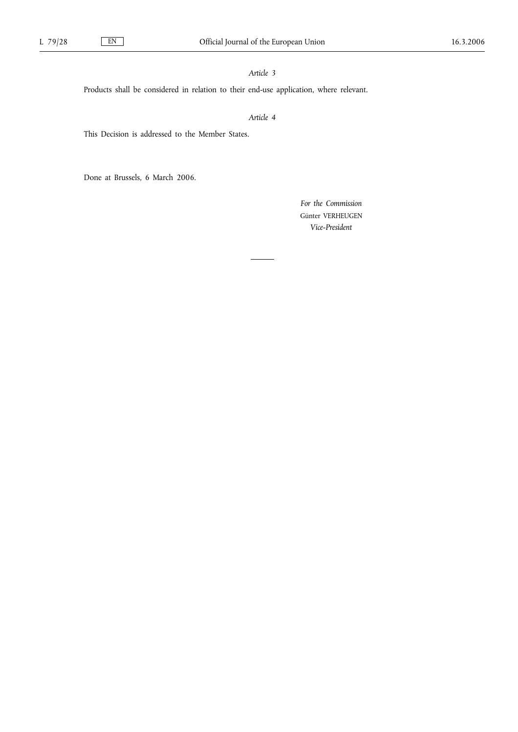# *Article 3*

Products shall be considered in relation to their end-use application, where relevant.

# *Article 4*

This Decision is addressed to the Member States.

Done at Brussels, 6 March 2006.

*For the Commission* Günter VERHEUGEN *Vice-President*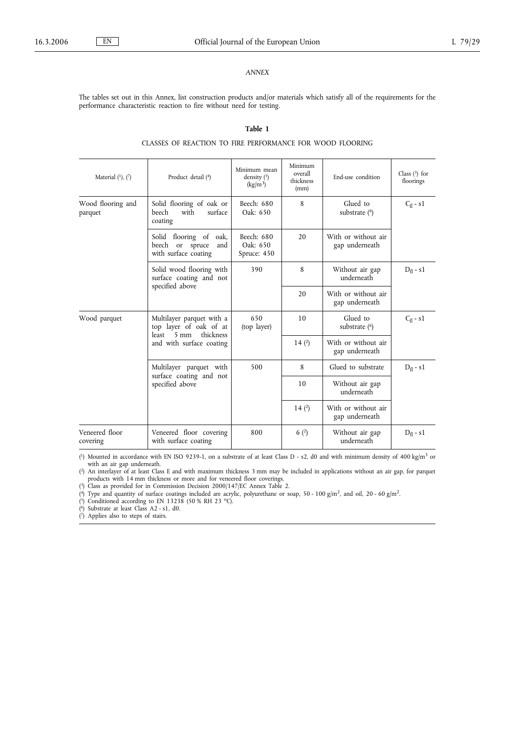#### *ANNEX*

The tables set out in this Annex, list construction products and/or materials which satisfy all of the requirements for the performance characteristic reaction to fire without need for testing.

# **Table 1**

# CLASSES OF REACTION TO FIRE PERFORMANCE FOR WOOD FLOORING

| Material $(1)$ , $(7)$       | Product detail (4)                                                                                                      | Minimum mean<br>density $(5)$<br>$\frac{\text{kg}}{\text{m}^3}$ | Minimum<br>overall<br>thickness<br>(mm) | End-use condition                     | Class $(3)$ for<br>floorings |
|------------------------------|-------------------------------------------------------------------------------------------------------------------------|-----------------------------------------------------------------|-----------------------------------------|---------------------------------------|------------------------------|
| Wood flooring and<br>parquet | Solid flooring of oak or<br>with<br>surface<br><b>beech</b><br>coating                                                  | Beech: 680<br>Oak: 650                                          | 8                                       | Glued to<br>substrate $(6)$           | $C_{\text{fl}}$ - s1         |
|                              | Solid flooring of<br>oak,<br>beech or<br>spruce<br>and<br>with surface coating                                          | Beech: 680<br>Oak: 650<br>Spruce: 450                           | 20                                      | With or without air<br>gap underneath |                              |
|                              | Solid wood flooring with<br>surface coating and not<br>specified above                                                  | 390                                                             | 8                                       | Without air gap<br>underneath         | $D_f - s1$                   |
|                              |                                                                                                                         |                                                                 | 20                                      | With or without air<br>gap underneath |                              |
| Wood parquet                 | Multilayer parquet with a<br>top layer of oak of at<br>least<br>$5 \text{ mm}$<br>thickness<br>and with surface coating | 650<br>(top layer)                                              | 10                                      | Glued to<br>substrate $(6)$           | $C_{fl}$ - s1                |
|                              |                                                                                                                         |                                                                 | 14(2)                                   | With or without air<br>gap underneath |                              |
|                              | Multilayer parquet with<br>surface coating and not<br>specified above                                                   | 500                                                             | 8                                       | Glued to substrate                    | $D_f - s1$                   |
|                              |                                                                                                                         |                                                                 | 10                                      | Without air gap<br>underneath         |                              |
|                              |                                                                                                                         |                                                                 | 14 $(2)$                                | With or without air<br>gap underneath |                              |
| Veneered floor<br>covering   | Veneered floor covering<br>with surface coating                                                                         | 800                                                             | 6(2)                                    | Without air gap<br>underneath         | $D_f - s1$                   |

(<sup>1</sup>) Mounted in accordance with EN ISO 9239-1, on a substrate of at least Class D - s2, d0 and with minimum density of 400 kg/m<sup>3</sup> or with an air gap underneath.

( 2) An interlayer of at least Class E and with maximum thickness 3 mm may be included in applications without an air gap, for parquet products with 14 mm thickness or more and for veneered floor coverings.

( 3) Class as provided for in Commission Decision 2000/147/EC Annex Table 2.

(4) Type and quantity of surface coatings included are acrylic, polyurethane or soap, 50 - 100 g/m<sup>2</sup>, and oil, 20 - 60 g/m<sup>2</sup>.

( $5$ ) Conditioned according to EN 13238 (50 % RH 23 °C).

( 6) Substrate at least Class A2 - s1, d0.

( 7) Applies also to steps of stairs.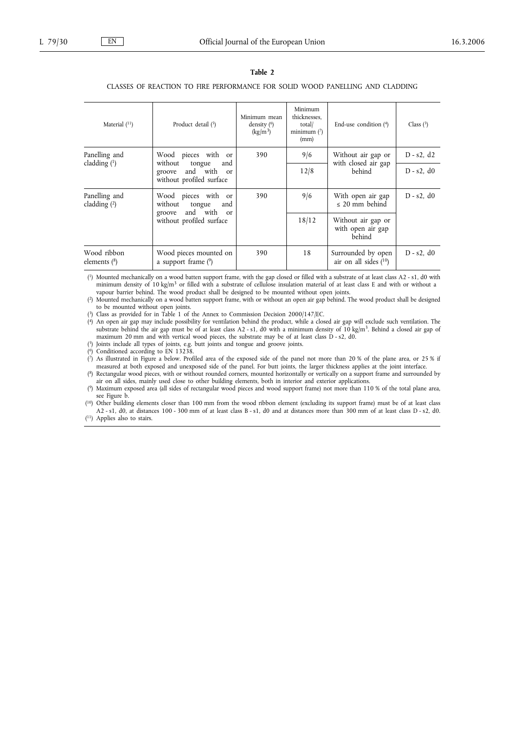### **Table 2**

#### CLASSES OF REACTION TO FIRE PERFORMANCE FOR SOLID WOOD PANELLING AND CLADDING

| Material $(11)$                 | Product detail $(5)$                                                                                               | Minimum mean<br>density $(6)$<br>(kg/m <sup>3</sup> ) | Minimum<br>thicknesses.<br>total/<br>minimum $(7)$<br>(mm) | End-use condition (4)                               | Class $(3)$      |  |  |  |
|---------------------------------|--------------------------------------------------------------------------------------------------------------------|-------------------------------------------------------|------------------------------------------------------------|-----------------------------------------------------|------------------|--|--|--|
| Panelling and<br>cladding $(1)$ | Wood pieces with or<br>without<br>tongue<br>and<br>and with or<br>groove<br>without profiled surface               | 390                                                   | 9/6                                                        | Without air gap or<br>with closed air gap<br>behind | $D - s2$ , d2    |  |  |  |
|                                 |                                                                                                                    |                                                       | 12/8                                                       |                                                     | $D - s2$ , d $0$ |  |  |  |
| Panelling and<br>cladding $(2)$ | Wood pieces with or<br>without<br>tongue<br>and<br>and with<br>groove<br><sub>or</sub><br>without profiled surface | 390                                                   | 9/6                                                        | With open air gap<br>$\leq$ 20 mm behind            | $D - s2$ , d $0$ |  |  |  |
|                                 |                                                                                                                    |                                                       | 18/12                                                      | Without air gap or<br>with open air gap<br>behind   |                  |  |  |  |
| Wood ribbon<br>elements (8)     | Wood pieces mounted on<br>a support frame $(9)$                                                                    | 390                                                   | 18                                                         | Surrounded by open<br>air on all sides $(10)$       | $D - s2$ , d $0$ |  |  |  |

( 1) Mounted mechanically on a wood batten support frame, with the gap closed or filled with a substrate of at least class A2 - s1, d0 with minimum density of 10 kg/m<sup>3</sup> or filled with a substrate of cellulose insulation material of at least class E and with or without a vapour barrier behind. The wood product shall be designed to be mounted without open joints.

 $(2)$ 2) Mounted mechanically on a wood batten support frame, with or without an open air gap behind. The wood product shall be designed to be mounted without open joints.

( 3) Class as provided for in Table 1 of the Annex to Commission Decision 2000/147/EC.

 $(4)$ <sup>4</sup>) An open air gap may include possibility for ventilation behind the product, while a closed air gap will exclude such ventilation. The substrate behind the air gap must be of at least class A2 - s1, d0 with a minimum maximum 20 mm and with vertical wood pieces, the substrate may be of at least class D - s2, d0.

( 5) Joints include all types of joints, e.g. butt joints and tongue and groove joints.

( 6) Conditioned according to EN 13238.

( 7) As illustrated in Figure a below. Profiled area of the exposed side of the panel not more than 20 % of the plane area, or 25 % if measured at both exposed and unexposed side of the panel. For butt joints, the larger thickness applies at the joint interface.

( 8) Rectangular wood pieces, with or without rounded corners, mounted horizontally or vertically on a support frame and surrounded by air on all sides, mainly used close to other building elements, both in interior and exterior applications.

( 9) Maximum exposed area (all sides of rectangular wood pieces and wood support frame) not more than 110 % of the total plane area, see Figure b.

( 10) Other building elements closer than 100 mm from the wood ribbon element (excluding its support frame) must be of at least class A2 - s1, d0, at distances 100 - 300 mm of at least class B - s1, d0 and at distances more than 300 mm of at least class D - s2, d0.

( 11) Applies also to stairs.